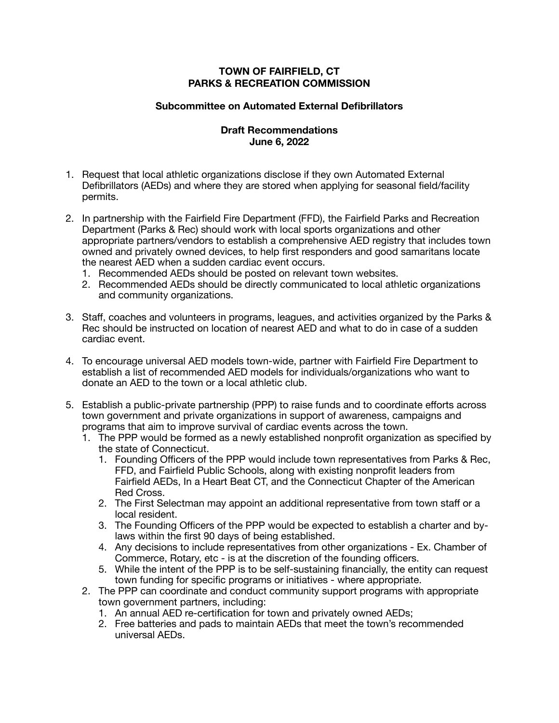## **TOWN OF FAIRFIELD, CT PARKS & RECREATION COMMISSION**

## **Subcommittee on Automated External Defibrillators**

## **Draft Recommendations June 6, 2022**

- 1. Request that local athletic organizations disclose if they own Automated External Defibrillators (AEDs) and where they are stored when applying for seasonal field/facility permits.
- 2. In partnership with the Fairfield Fire Department (FFD), the Fairfield Parks and Recreation Department (Parks & Rec) should work with local sports organizations and other appropriate partners/vendors to establish a comprehensive AED registry that includes town owned and privately owned devices, to help first responders and good samaritans locate the nearest AED when a sudden cardiac event occurs.
	- 1. Recommended AEDs should be posted on relevant town websites.
	- 2. Recommended AEDs should be directly communicated to local athletic organizations and community organizations.
- 3. Staff, coaches and volunteers in programs, leagues, and activities organized by the Parks & Rec should be instructed on location of nearest AED and what to do in case of a sudden cardiac event.
- 4. To encourage universal AED models town-wide, partner with Fairfield Fire Department to establish a list of recommended AED models for individuals/organizations who want to donate an AED to the town or a local athletic club.
- 5. Establish a public-private partnership (PPP) to raise funds and to coordinate efforts across town government and private organizations in support of awareness, campaigns and programs that aim to improve survival of cardiac events across the town.
	- 1. The PPP would be formed as a newly established nonprofit organization as specified by the state of Connecticut.
		- 1. Founding Officers of the PPP would include town representatives from Parks & Rec, FFD, and Fairfield Public Schools, along with existing nonprofit leaders from Fairfield AEDs, In a Heart Beat CT, and the Connecticut Chapter of the American Red Cross.
		- 2. The First Selectman may appoint an additional representative from town staff or a local resident.
		- 3. The Founding Officers of the PPP would be expected to establish a charter and bylaws within the first 90 days of being established.
		- 4. Any decisions to include representatives from other organizations Ex. Chamber of Commerce, Rotary, etc - is at the discretion of the founding officers.
		- 5. While the intent of the PPP is to be self-sustaining financially, the entity can request town funding for specific programs or initiatives - where appropriate.
	- 2. The PPP can coordinate and conduct community support programs with appropriate town government partners, including:
		- 1. An annual AED re-certification for town and privately owned AEDs;
		- 2. Free batteries and pads to maintain AEDs that meet the town's recommended universal AEDs.